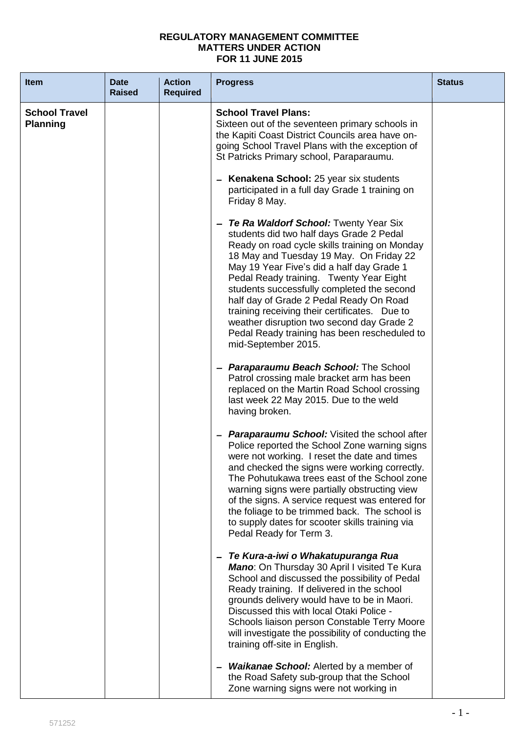## **REGULATORY MANAGEMENT COMMITTEE MATTERS UNDER ACTION FOR 11 JUNE 2015**

| <b>Item</b>                             | <b>Date</b><br><b>Raised</b> | <b>Action</b><br><b>Required</b> | <b>Progress</b>                                                                                                                                                                                                                                                                                                                                                                                                                                                                                                                                                                                                                                                          | <b>Status</b> |
|-----------------------------------------|------------------------------|----------------------------------|--------------------------------------------------------------------------------------------------------------------------------------------------------------------------------------------------------------------------------------------------------------------------------------------------------------------------------------------------------------------------------------------------------------------------------------------------------------------------------------------------------------------------------------------------------------------------------------------------------------------------------------------------------------------------|---------------|
| <b>School Travel</b><br><b>Planning</b> |                              |                                  | <b>School Travel Plans:</b><br>Sixteen out of the seventeen primary schools in<br>the Kapiti Coast District Councils area have on-<br>going School Travel Plans with the exception of<br>St Patricks Primary school, Paraparaumu.<br>- Kenakena School: 25 year six students<br>participated in a full day Grade 1 training on<br>Friday 8 May.<br>- Te Ra Waldorf School: Twenty Year Six<br>students did two half days Grade 2 Pedal<br>Ready on road cycle skills training on Monday<br>18 May and Tuesday 19 May. On Friday 22<br>May 19 Year Five's did a half day Grade 1<br>Pedal Ready training. Twenty Year Eight<br>students successfully completed the second |               |
|                                         |                              |                                  | half day of Grade 2 Pedal Ready On Road<br>training receiving their certificates. Due to<br>weather disruption two second day Grade 2<br>Pedal Ready training has been rescheduled to<br>mid-September 2015.<br>- Paraparaumu Beach School: The School<br>Patrol crossing male bracket arm has been<br>replaced on the Martin Road School crossing<br>last week 22 May 2015. Due to the weld<br>having broken.                                                                                                                                                                                                                                                           |               |
|                                         |                              |                                  | <b>Paraparaumu School:</b> Visited the school after<br>—<br>Police reported the School Zone warning signs<br>were not working. I reset the date and times<br>and checked the signs were working correctly.<br>The Pohutukawa trees east of the School zone<br>warning signs were partially obstructing view<br>of the signs. A service request was entered for<br>the foliage to be trimmed back. The school is<br>to supply dates for scooter skills training via<br>Pedal Ready for Term 3.                                                                                                                                                                            |               |
|                                         |                              |                                  | Te Kura-a-iwi o Whakatupuranga Rua<br>Mano: On Thursday 30 April I visited Te Kura<br>School and discussed the possibility of Pedal<br>Ready training. If delivered in the school<br>grounds delivery would have to be in Maori.<br>Discussed this with local Otaki Police -<br>Schools liaison person Constable Terry Moore<br>will investigate the possibility of conducting the<br>training off-site in English.                                                                                                                                                                                                                                                      |               |
|                                         |                              |                                  | <b>Waikanae School:</b> Alerted by a member of<br>the Road Safety sub-group that the School<br>Zone warning signs were not working in                                                                                                                                                                                                                                                                                                                                                                                                                                                                                                                                    |               |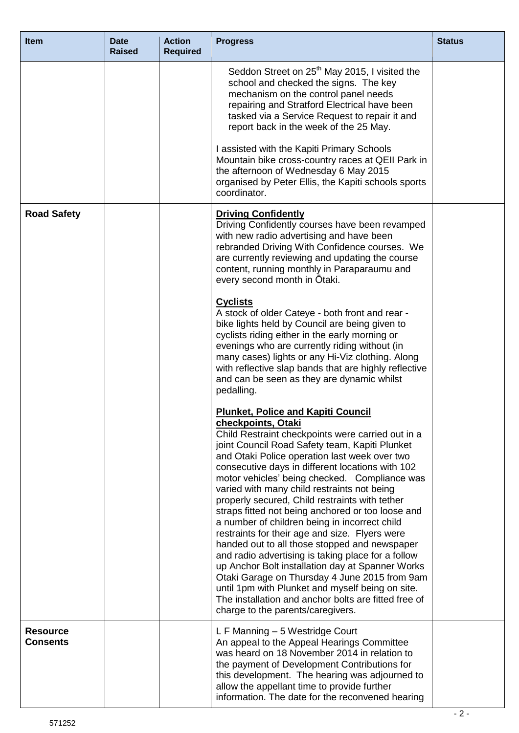| <b>Item</b>        | <b>Date</b><br><b>Raised</b> | <b>Action</b><br><b>Required</b> | <b>Progress</b>                                                                                                                                                                                                                                                                                                                                                                                                                                                                                                                                                                                                                                                                                                                                                                                                                                                                                                                                                                                                                                                                                                                                                                                                                                                                                                                                                                                                                                                                                                                                                                                                                  | <b>Status</b> |
|--------------------|------------------------------|----------------------------------|----------------------------------------------------------------------------------------------------------------------------------------------------------------------------------------------------------------------------------------------------------------------------------------------------------------------------------------------------------------------------------------------------------------------------------------------------------------------------------------------------------------------------------------------------------------------------------------------------------------------------------------------------------------------------------------------------------------------------------------------------------------------------------------------------------------------------------------------------------------------------------------------------------------------------------------------------------------------------------------------------------------------------------------------------------------------------------------------------------------------------------------------------------------------------------------------------------------------------------------------------------------------------------------------------------------------------------------------------------------------------------------------------------------------------------------------------------------------------------------------------------------------------------------------------------------------------------------------------------------------------------|---------------|
|                    |                              |                                  | Seddon Street on 25 <sup>th</sup> May 2015, I visited the<br>school and checked the signs. The key<br>mechanism on the control panel needs<br>repairing and Stratford Electrical have been<br>tasked via a Service Request to repair it and<br>report back in the week of the 25 May.<br>I assisted with the Kapiti Primary Schools<br>Mountain bike cross-country races at QEII Park in<br>the afternoon of Wednesday 6 May 2015<br>organised by Peter Ellis, the Kapiti schools sports                                                                                                                                                                                                                                                                                                                                                                                                                                                                                                                                                                                                                                                                                                                                                                                                                                                                                                                                                                                                                                                                                                                                         |               |
|                    |                              |                                  | coordinator.                                                                                                                                                                                                                                                                                                                                                                                                                                                                                                                                                                                                                                                                                                                                                                                                                                                                                                                                                                                                                                                                                                                                                                                                                                                                                                                                                                                                                                                                                                                                                                                                                     |               |
| <b>Road Safety</b> |                              |                                  | <b>Driving Confidently</b><br>Driving Confidently courses have been revamped<br>with new radio advertising and have been<br>rebranded Driving With Confidence courses. We<br>are currently reviewing and updating the course<br>content, running monthly in Paraparaumu and<br>every second month in Otaki.<br><b>Cyclists</b><br>A stock of older Cateye - both front and rear -<br>bike lights held by Council are being given to<br>cyclists riding either in the early morning or<br>evenings who are currently riding without (in<br>many cases) lights or any Hi-Viz clothing. Along<br>with reflective slap bands that are highly reflective<br>and can be seen as they are dynamic whilst<br>pedalling.<br><b>Plunket, Police and Kapiti Council</b><br>checkpoints, Otaki<br>Child Restraint checkpoints were carried out in a<br>joint Council Road Safety team, Kapiti Plunket<br>and Otaki Police operation last week over two<br>consecutive days in different locations with 102<br>motor vehicles' being checked. Compliance was<br>varied with many child restraints not being<br>properly secured, Child restraints with tether<br>straps fitted not being anchored or too loose and<br>a number of children being in incorrect child<br>restraints for their age and size. Flyers were<br>handed out to all those stopped and newspaper<br>and radio advertising is taking place for a follow<br>up Anchor Bolt installation day at Spanner Works<br>Otaki Garage on Thursday 4 June 2015 from 9am<br>until 1pm with Plunket and myself being on site.<br>The installation and anchor bolts are fitted free of |               |
| <b>Resource</b>    |                              |                                  | charge to the parents/caregivers.                                                                                                                                                                                                                                                                                                                                                                                                                                                                                                                                                                                                                                                                                                                                                                                                                                                                                                                                                                                                                                                                                                                                                                                                                                                                                                                                                                                                                                                                                                                                                                                                |               |
| <b>Consents</b>    |                              |                                  | L F Manning - 5 Westridge Court<br>An appeal to the Appeal Hearings Committee<br>was heard on 18 November 2014 in relation to<br>the payment of Development Contributions for<br>this development. The hearing was adjourned to<br>allow the appellant time to provide further<br>information. The date for the reconvened hearing                                                                                                                                                                                                                                                                                                                                                                                                                                                                                                                                                                                                                                                                                                                                                                                                                                                                                                                                                                                                                                                                                                                                                                                                                                                                                               |               |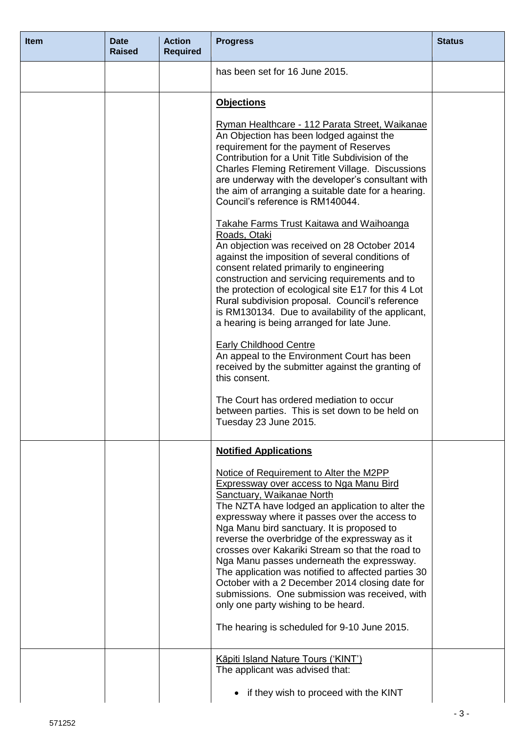| <b>Item</b> | <b>Date</b><br><b>Raised</b> | <b>Action</b><br><b>Required</b> | <b>Progress</b>                                                                                                                                                                                                                                                                                                                                                                                                                                                                                                                                                                                                                                                                                                                                               | <b>Status</b> |
|-------------|------------------------------|----------------------------------|---------------------------------------------------------------------------------------------------------------------------------------------------------------------------------------------------------------------------------------------------------------------------------------------------------------------------------------------------------------------------------------------------------------------------------------------------------------------------------------------------------------------------------------------------------------------------------------------------------------------------------------------------------------------------------------------------------------------------------------------------------------|---------------|
|             |                              |                                  | has been set for 16 June 2015.                                                                                                                                                                                                                                                                                                                                                                                                                                                                                                                                                                                                                                                                                                                                |               |
|             |                              |                                  | <b>Objections</b>                                                                                                                                                                                                                                                                                                                                                                                                                                                                                                                                                                                                                                                                                                                                             |               |
|             |                              |                                  | Ryman Healthcare - 112 Parata Street, Waikanae<br>An Objection has been lodged against the<br>requirement for the payment of Reserves<br>Contribution for a Unit Title Subdivision of the<br><b>Charles Fleming Retirement Village. Discussions</b><br>are underway with the developer's consultant with<br>the aim of arranging a suitable date for a hearing.<br>Council's reference is RM140044.                                                                                                                                                                                                                                                                                                                                                           |               |
|             |                              |                                  | <b>Takahe Farms Trust Kaitawa and Waihoanga</b><br>Roads, Otaki<br>An objection was received on 28 October 2014<br>against the imposition of several conditions of<br>consent related primarily to engineering<br>construction and servicing requirements and to<br>the protection of ecological site E17 for this 4 Lot<br>Rural subdivision proposal. Council's reference<br>is RM130134. Due to availability of the applicant,<br>a hearing is being arranged for late June.<br><b>Early Childhood Centre</b><br>An appeal to the Environment Court has been<br>received by the submitter against the granting of<br>this consent.<br>The Court has ordered mediation to occur<br>between parties. This is set down to be held on<br>Tuesday 23 June 2015. |               |
|             |                              |                                  | <b>Notified Applications</b><br>Notice of Requirement to Alter the M2PP<br><b>Expressway over access to Nga Manu Bird</b><br>Sanctuary, Waikanae North<br>The NZTA have lodged an application to alter the<br>expressway where it passes over the access to<br>Nga Manu bird sanctuary. It is proposed to<br>reverse the overbridge of the expressway as it<br>crosses over Kakariki Stream so that the road to<br>Nga Manu passes underneath the expressway.<br>The application was notified to affected parties 30<br>October with a 2 December 2014 closing date for<br>submissions. One submission was received, with<br>only one party wishing to be heard.<br>The hearing is scheduled for 9-10 June 2015.                                              |               |
|             |                              |                                  | Kāpiti Island Nature Tours ('KINT')<br>The applicant was advised that:<br>if they wish to proceed with the KINT                                                                                                                                                                                                                                                                                                                                                                                                                                                                                                                                                                                                                                               |               |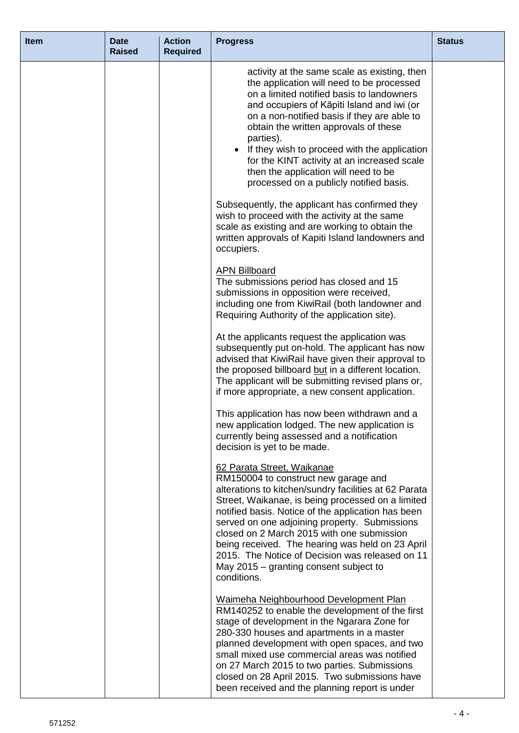| <b>Item</b> | <b>Date</b><br><b>Raised</b> | <b>Action</b><br><b>Required</b> | <b>Progress</b>                                                                                                                                                                                                                                                                                                                                                                                                                                                                                                                                                                             | <b>Status</b> |
|-------------|------------------------------|----------------------------------|---------------------------------------------------------------------------------------------------------------------------------------------------------------------------------------------------------------------------------------------------------------------------------------------------------------------------------------------------------------------------------------------------------------------------------------------------------------------------------------------------------------------------------------------------------------------------------------------|---------------|
|             |                              |                                  | activity at the same scale as existing, then<br>the application will need to be processed<br>on a limited notified basis to landowners<br>and occupiers of Kāpiti Island and iwi (or<br>on a non-notified basis if they are able to<br>obtain the written approvals of these<br>parties).<br>If they wish to proceed with the application<br>$\bullet$<br>for the KINT activity at an increased scale<br>then the application will need to be<br>processed on a publicly notified basis.<br>Subsequently, the applicant has confirmed they<br>wish to proceed with the activity at the same |               |
|             |                              |                                  | scale as existing and are working to obtain the<br>written approvals of Kapiti Island landowners and<br>occupiers.                                                                                                                                                                                                                                                                                                                                                                                                                                                                          |               |
|             |                              |                                  | <b>APN Billboard</b><br>The submissions period has closed and 15<br>submissions in opposition were received,<br>including one from KiwiRail (both landowner and<br>Requiring Authority of the application site).                                                                                                                                                                                                                                                                                                                                                                            |               |
|             |                              |                                  | At the applicants request the application was<br>subsequently put on-hold. The applicant has now<br>advised that KiwiRail have given their approval to<br>the proposed billboard but in a different location.<br>The applicant will be submitting revised plans or,<br>if more appropriate, a new consent application.                                                                                                                                                                                                                                                                      |               |
|             |                              |                                  | This application has now been withdrawn and a<br>new application lodged. The new application is<br>currently being assessed and a notification<br>decision is yet to be made.                                                                                                                                                                                                                                                                                                                                                                                                               |               |
|             |                              |                                  | 62 Parata Street, Waikanae<br>RM150004 to construct new garage and<br>alterations to kitchen/sundry facilities at 62 Parata<br>Street, Waikanae, is being processed on a limited<br>notified basis. Notice of the application has been<br>served on one adjoining property. Submissions<br>closed on 2 March 2015 with one submission<br>being received. The hearing was held on 23 April<br>2015. The Notice of Decision was released on 11<br>May 2015 – granting consent subject to<br>conditions.                                                                                       |               |
|             |                              |                                  | Waimeha Neighbourhood Development Plan<br>RM140252 to enable the development of the first<br>stage of development in the Ngarara Zone for<br>280-330 houses and apartments in a master<br>planned development with open spaces, and two<br>small mixed use commercial areas was notified<br>on 27 March 2015 to two parties. Submissions<br>closed on 28 April 2015. Two submissions have<br>been received and the planning report is under                                                                                                                                                 |               |